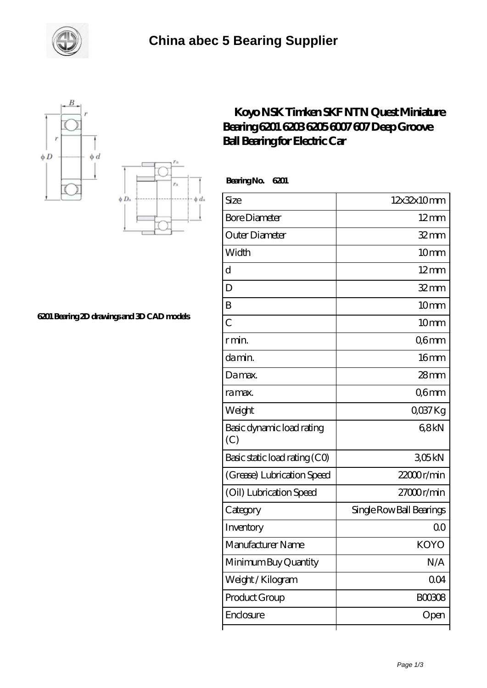





## **[6201 Bearing 2D drawings and 3D CAD models](https://m.smokehousewinery.com/pic-563874.html)**

## **[Koyo NSK Timken SKF NTN Quest Miniature](https://m.smokehousewinery.com/koyo-6205-bearing/koyo-nsk-timken-skf-ntn-quest-miniature-bearing-6201-6203-6205-6007-607-deep-groove-ball-bearing-for-electric-car.html) [Bearing 6201 6203 6205 6007 607 Deep Groove](https://m.smokehousewinery.com/koyo-6205-bearing/koyo-nsk-timken-skf-ntn-quest-miniature-bearing-6201-6203-6205-6007-607-deep-groove-ball-bearing-for-electric-car.html) [Ball Bearing for Electric Car](https://m.smokehousewinery.com/koyo-6205-bearing/koyo-nsk-timken-skf-ntn-quest-miniature-bearing-6201-6203-6205-6007-607-deep-groove-ball-bearing-for-electric-car.html)**

 **Bearing No. 6201**

| Size                             | 12x32x10mm               |
|----------------------------------|--------------------------|
| <b>Bore Diameter</b>             | $12 \text{mm}$           |
| Outer Diameter                   | $32$ mm                  |
| Width                            | 10 <sub>mm</sub>         |
| d                                | $12 \text{mm}$           |
| D                                | $32$ mm                  |
| B                                | 10mm                     |
| $\overline{C}$                   | 10mm                     |
| r min.                           | Q6mm                     |
| da min.                          | 16mm                     |
| Damax.                           | $28 \text{mm}$           |
| ra max.                          | Q6mm                     |
| Weight                           | QO37Kg                   |
| Basic dynamic load rating<br>(C) | 68kN                     |
| Basic static load rating (CO)    | 305kN                    |
| (Grease) Lubrication Speed       | 22000r/min               |
| (Oil) Lubrication Speed          | 27000r/min               |
| Category                         | Single Row Ball Bearings |
| Inventory                        | Q0                       |
| Manufacturer Name                | <b>KOYO</b>              |
| Minimum Buy Quantity             | N/A                      |
| Weight/Kilogram                  | 0 <sub>O</sub> 4         |
| Product Group                    | BOO3O8                   |
| Enclosure                        | Open                     |
|                                  |                          |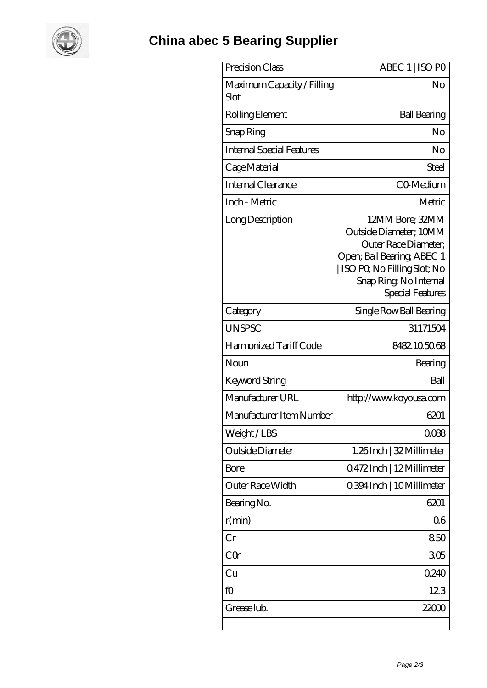

## **[China abec 5 Bearing Supplier](https://m.smokehousewinery.com)**

| Precision Class                    | ABEC 1   ISO PO                                                                                                                                                             |
|------------------------------------|-----------------------------------------------------------------------------------------------------------------------------------------------------------------------------|
| Maximum Capacity / Filling<br>Slot | No                                                                                                                                                                          |
| Rolling Element                    | <b>Ball Bearing</b>                                                                                                                                                         |
| Snap Ring                          | No                                                                                                                                                                          |
| <b>Internal Special Features</b>   | No                                                                                                                                                                          |
| Cage Material                      | Steel                                                                                                                                                                       |
| Internal Clearance                 | CO-Medium                                                                                                                                                                   |
| Inch - Metric                      | Metric                                                                                                                                                                      |
| Long Description                   | 12MM Bore; 32MM<br>Outside Diameter: 10MM<br>Outer Race Diameter;<br>Open; Ball Bearing; ABEC 1<br>ISO PQ No Filling Slot; No<br>Snap Ring, No Internal<br>Special Features |
| Category                           | Single Row Ball Bearing                                                                                                                                                     |
| <b>UNSPSC</b>                      | 31171504                                                                                                                                                                    |
| Harmonized Tariff Code             | 8482105068                                                                                                                                                                  |
| Noun                               | Bearing                                                                                                                                                                     |
| Keyword String                     | Ball                                                                                                                                                                        |
| Manufacturer URL                   | http://www.koyousa.com                                                                                                                                                      |
| Manufacturer Item Number           | 6201                                                                                                                                                                        |
| Weight/LBS                         | 0088                                                                                                                                                                        |
| Outside Diameter                   | 1.26Inch   32 Millimeter                                                                                                                                                    |
| Bore                               | Q472Inch   12Millimeter                                                                                                                                                     |
| Outer Race Width                   | 0.394 Inch   10 Millimeter                                                                                                                                                  |
| Bearing No.                        | 6201                                                                                                                                                                        |
| r(min)                             | Q <sub>6</sub>                                                                                                                                                              |
| Cr                                 | 850                                                                                                                                                                         |
| CQr                                | 305                                                                                                                                                                         |
| Cu                                 | 0240                                                                                                                                                                        |
| fO                                 | 123                                                                                                                                                                         |
| Grease lub.                        | 22000                                                                                                                                                                       |